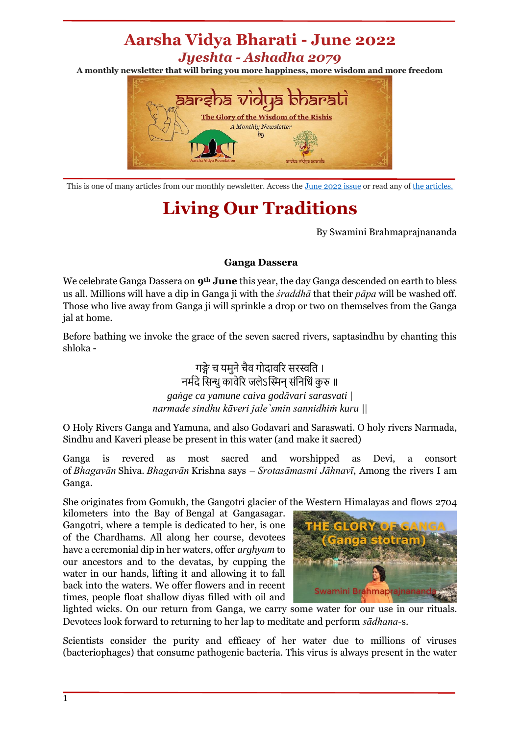## **Aarsha Vidya Bharati - June 2022** *Jyeshta - Ashadha 2079*

**A monthly newsletter that will bring you more happiness, more wisdom and more freedom**



This is one of many articles from our monthly newsletter. Access the [June](https://mailchi.mp/7495db30a7ea/aarsha-vidya-bharati-jun2022) 2022 issue or read any o[f the articles.](https://discoveratma.com/our-monthly-newsletter/)

## **Living Our Traditions**

By Swamini Brahmaprajnananda

## **Ganga Dassera**

We celebrate Ganga Dassera on **9th June** this year, the day Ganga descended on earth to bless us all. Millions will have a dip in Ganga ji with the *śraddhā* that their *pāpa* will be washed off. Those who live away from Ganga ji will sprinkle a drop or two on themselves from the Ganga jal at home.

Before bathing we invoke the grace of the seven sacred rivers, saptasindhu by chanting this shloka -

> गङ्गे च यमुने चैव गोदावरि सरस्वति । नर्मदे सिन्धु कावेरि जलेऽस्मिन् संनिधिं कुरु ॥ *gaṅge ca yamune caiva godāvari sarasvati | narmade sindhu kāveri jale`smin sannidhiṁ kuru ||*

O Holy Rivers Ganga and Yamuna, and also Godavari and Saraswati. O holy rivers Narmada, Sindhu and Kaveri please be present in this water (and make it sacred)

Ganga is revered as most sacred and worshipped as Devi, a consort of *Bhagavān* Shiva. *Bhagavān* Krishna says – *Srotasāmasmi Jāhnavī*, Among the rivers I am Ganga.

She originates from Gomukh, the Gangotri glacier of the Western Himalayas and flows 2704

kilometers into the Bay of Bengal at Gangasagar. Gangotri, where a temple is dedicated to her, is one of the Chardhams. All along her course, devotees have a ceremonial dip in her waters, offer *arghyam* to our ancestors and to the devatas, by cupping the water in our hands, lifting it and allowing it to fall back into the waters. We offer flowers and in recent times, people float shallow diyas filled with oil and



lighted wicks. On our return from Ganga, we carry some water for our use in our rituals. Devotees look forward to returning to her lap to meditate and perform *sādhana*-s.

Scientists consider the purity and efficacy of her water due to millions of viruses (bacteriophages) that consume pathogenic bacteria. This virus is always present in the water

1